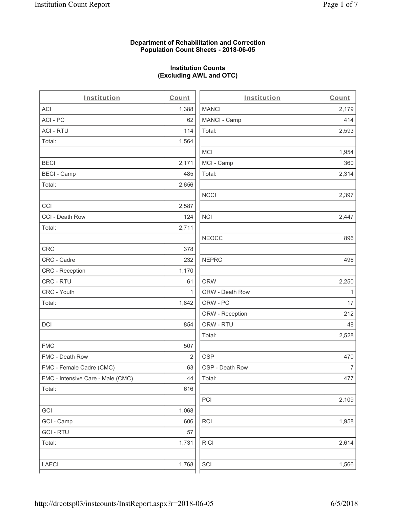## **Department of Rehabilitation and Correction Population Count Sheets - 2018-06-05**

## **Institution Counts (Excluding AWL and OTC)**

| Institution                       | Count        | Institution     | Count        |
|-----------------------------------|--------------|-----------------|--------------|
| ACI                               | 1,388        | <b>MANCI</b>    | 2,179        |
| ACI-PC                            | 62           | MANCI - Camp    | 414          |
| <b>ACI - RTU</b>                  | 114          | Total:          | 2,593        |
| Total:                            | 1,564        |                 |              |
|                                   |              | MCI             | 1,954        |
| <b>BECI</b>                       | 2,171        | MCI - Camp      | 360          |
| <b>BECI - Camp</b>                | 485          | Total:          | 2,314        |
| Total:                            | 2,656        |                 |              |
|                                   |              | <b>NCCI</b>     | 2,397        |
| CCI                               | 2,587        |                 |              |
| CCI - Death Row                   | 124          | <b>NCI</b>      | 2,447        |
| Total:                            | 2,711        |                 |              |
|                                   |              | <b>NEOCC</b>    | 896          |
| <b>CRC</b>                        | 378          |                 |              |
| CRC - Cadre                       | 232          | <b>NEPRC</b>    | 496          |
| CRC - Reception                   | 1,170        |                 |              |
| CRC - RTU                         | 61           | <b>ORW</b>      | 2,250        |
| CRC - Youth                       | $\mathbf{1}$ | ORW - Death Row | $\mathbf{1}$ |
| Total:                            | 1,842        | ORW - PC        | 17           |
|                                   |              | ORW - Reception | 212          |
| DCI                               | 854          | ORW - RTU       | 48           |
|                                   |              | Total:          | 2,528        |
| <b>FMC</b>                        | 507          |                 |              |
| FMC - Death Row                   | 2            | <b>OSP</b>      | 470          |
| FMC - Female Cadre (CMC)          | 63           | OSP - Death Row | 7            |
| FMC - Intensive Care - Male (CMC) | 44           | Total:          | 477          |
| Total:                            | 616          |                 |              |
|                                   |              | PCI             | 2,109        |
| GCI                               | 1,068        |                 |              |
| GCI - Camp                        | 606          | RCI             | 1,958        |
| <b>GCI - RTU</b>                  | 57           |                 |              |
| Total:                            | 1,731        | <b>RICI</b>     | 2,614        |
|                                   |              |                 |              |
| LAECI                             | 1,768        | SCI             | 1,566        |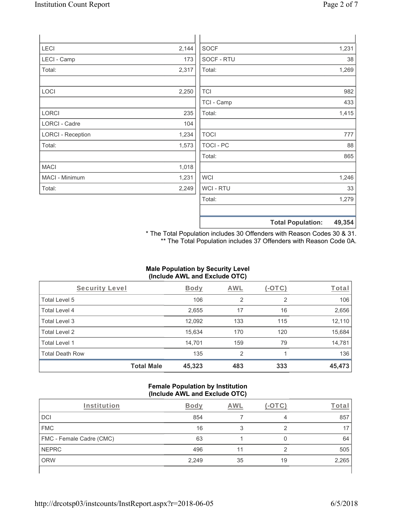| <b>LECI</b>              | 2,144 | <b>SOCF</b>      | 1,231                       |
|--------------------------|-------|------------------|-----------------------------|
| LECI - Camp              | 173   | SOCF - RTU       | 38                          |
| Total:                   | 2,317 | Total:           | 1,269                       |
|                          |       |                  |                             |
| LOCI                     | 2,250 | <b>TCI</b>       | 982                         |
|                          |       | TCI - Camp       | 433                         |
| <b>LORCI</b>             | 235   | Total:           | 1,415                       |
| <b>LORCI - Cadre</b>     | 104   |                  |                             |
| <b>LORCI - Reception</b> | 1,234 | <b>TOCI</b>      | 777                         |
| Total:                   | 1,573 | <b>TOCI - PC</b> | 88                          |
|                          |       | Total:           | 865                         |
| <b>MACI</b>              | 1,018 |                  |                             |
| MACI - Minimum           | 1,231 | <b>WCI</b>       | 1,246                       |
| Total:                   | 2,249 | WCI - RTU        | 33                          |
|                          |       | Total:           | 1,279                       |
|                          |       |                  |                             |
|                          |       |                  | $\sim$ $\sim$ $\sim$ $\sim$ |

**Total Population: 49,354**

\* The Total Population includes 30 Offenders with Reason Codes 30 & 31. \*\* The Total Population includes 37 Offenders with Reason Code 0A.

## **Male Population by Security Level (Include AWL and Exclude OTC)**

| Security Level         |                   | Body   | AWL            | (-OTC) | Total  |
|------------------------|-------------------|--------|----------------|--------|--------|
| Total Level 5          |                   | 106    | 2              | 2      | 106    |
| <b>Total Level 4</b>   |                   | 2,655  | 17             | 16     | 2,656  |
| Total Level 3          |                   | 12,092 | 133            | 115    | 12,110 |
| Total Level 2          |                   | 15,634 | 170            | 120    | 15,684 |
| Total Level 1          |                   | 14,701 | 159            | 79     | 14,781 |
| <b>Total Death Row</b> |                   | 135    | $\overline{2}$ |        | 136    |
|                        | <b>Total Male</b> | 45,323 | 483            | 333    | 45,473 |

## **Female Population by Institution (Include AWL and Exclude OTC)**

| Institution              | <b>Body</b> | AWL |    | Tota  |
|--------------------------|-------------|-----|----|-------|
| DCI                      | 854         |     | 4  | 857   |
| <b>FMC</b>               | 16          |     |    |       |
| FMC - Female Cadre (CMC) | 63          |     |    | 64    |
| NEPRC                    | 496         |     | ◠  | 505   |
| <b>ORW</b>               | 2,249       | 35  | 19 | 2,265 |
|                          |             |     |    |       |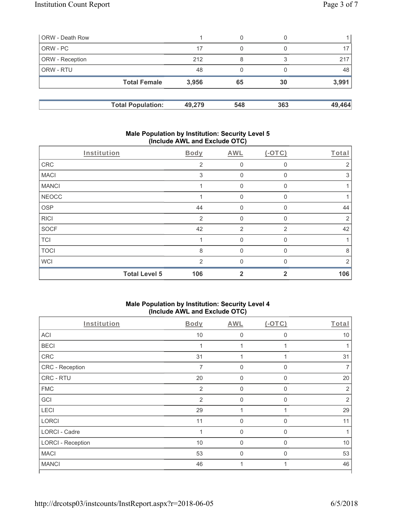| ORW - Death Row        |                          |        | 0   |     |        |
|------------------------|--------------------------|--------|-----|-----|--------|
| ORW - PC               |                          | 17     | 0   |     |        |
| <b>ORW</b> - Reception |                          | 212    | 8   |     | 217    |
| <b>ORW - RTU</b>       |                          | 48     | 0   |     | 48     |
|                        | <b>Total Female</b>      | 3,956  | 65  | 30  | 3,991  |
|                        | <b>Total Population:</b> | 49,279 | 548 | 363 | 49,464 |

## **Male Population by Institution: Security Level 5 (Include AWL and Exclude OTC)**

|              | Institution          | Body           | AWL            | $(-OTC)$       | Total          |
|--------------|----------------------|----------------|----------------|----------------|----------------|
| CRC          |                      | 2              | 0              | 0              | 2              |
| <b>MACI</b>  |                      | 3              | $\mathbf 0$    | $\Omega$       | 3              |
| <b>MANCI</b> |                      |                | 0              | 0              |                |
| <b>NEOCC</b> |                      |                | 0              | $\Omega$       |                |
| <b>OSP</b>   |                      | 44             | 0              | 0              | 44             |
| <b>RICI</b>  |                      | $\overline{2}$ | 0              | $\Omega$       | $\overline{2}$ |
| <b>SOCF</b>  |                      | 42             | $\overline{2}$ | $\overline{2}$ | 42             |
| <b>TCI</b>   |                      |                | $\Omega$       | 0              |                |
| <b>TOCI</b>  |                      | 8              | $\Omega$       | $\mathbf{0}$   | 8              |
| <b>WCI</b>   |                      | $\mathcal{P}$  | $\Omega$       | $\Omega$       | 2              |
|              | <b>Total Level 5</b> | 106            | $\overline{2}$ | $\mathbf{2}$   | 106            |

## **Male Population by Institution: Security Level 4 (Include AWL and Exclude OTC)**

| $\cdot$                  |                |             |             |                |
|--------------------------|----------------|-------------|-------------|----------------|
| Institution              | <b>Body</b>    | <b>AWL</b>  | (OTC)       | Total          |
| ACI                      | 10             | $\mathbf 0$ | $\mathbf 0$ | 10             |
| <b>BECI</b>              | 1              |             |             |                |
| ${\sf CRC}$              | 31             |             |             | 31             |
| CRC - Reception          | 7              | $\mathbf 0$ | $\Omega$    | 7              |
| CRC - RTU                | 20             | $\mathbf 0$ | $\Omega$    | 20             |
| <b>FMC</b>               | $\overline{2}$ | $\mathbf 0$ | $\Omega$    | $\overline{2}$ |
| GCI                      | $\overline{2}$ | $\Omega$    | $\Omega$    | $\overline{2}$ |
| LECI                     | 29             |             |             | 29             |
| <b>LORCI</b>             | 11             | $\mathbf 0$ | $\Omega$    | 11             |
| <b>LORCI - Cadre</b>     | $\overline{1}$ | 0           | $\Omega$    |                |
| <b>LORCI - Reception</b> | 10             | $\mathbf 0$ | $\Omega$    | 10             |
| <b>MACI</b>              | 53             | $\mathbf 0$ | 0           | 53             |
| <b>MANCI</b>             | 46             | 1           |             | 46             |
|                          |                |             |             |                |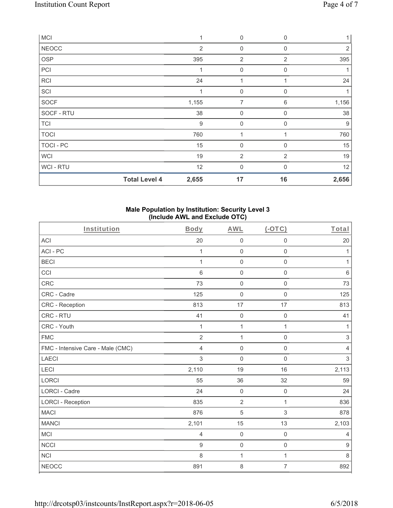| <b>MCI</b>   |                      | 1     | 0              | $\mathbf 0$    |       |
|--------------|----------------------|-------|----------------|----------------|-------|
| <b>NEOCC</b> |                      | 2     | 0              | 0              | 2     |
| <b>OSP</b>   |                      | 395   | $\overline{2}$ | $\overline{2}$ | 395   |
| PCI          |                      | 1     | 0              | 0              |       |
| <b>RCI</b>   |                      | 24    | 1              |                | 24    |
| SCI          |                      | 1     | $\mathbf 0$    | 0              |       |
| <b>SOCF</b>  |                      | 1,155 | 7              | 6              | 1,156 |
| SOCF - RTU   |                      | 38    | 0              | $\Omega$       | 38    |
| <b>TCI</b>   |                      | $9\,$ | $\mathbf 0$    | 0              | 9     |
| <b>TOCI</b>  |                      | 760   | 1              |                | 760   |
| TOCI - PC    |                      | 15    | $\mathbf 0$    | $\Omega$       | 15    |
| <b>WCI</b>   |                      | 19    | 2              | 2              | 19    |
| WCI-RTU      |                      | 12    | 0              | $\Omega$       | 12    |
|              | <b>Total Level 4</b> | 2,655 | 17             | 16             | 2,656 |

# **Male Population by Institution: Security Level 3 (Include AWL and Exclude OTC)**

| Institution                       | Body           | <b>AWL</b>          | $(-OTC)$         | Total            |
|-----------------------------------|----------------|---------------------|------------------|------------------|
| ACI                               | 20             | $\mathsf{O}\xspace$ | $\mathbf 0$      | 20               |
| ACI-PC                            | $\mathbf{1}$   | $\mathsf{O}\xspace$ | 0                | 1                |
| <b>BECI</b>                       | $\mathbf 1$    | $\mathbf 0$         | $\mathbf 0$      | $\mathbf{1}$     |
| CCI                               | 6              | $\mathbf 0$         | $\mathbf 0$      | 6                |
| CRC                               | 73             | $\mathbf 0$         | $\mathbf 0$      | 73               |
| CRC - Cadre                       | 125            | $\boldsymbol{0}$    | $\mathbf 0$      | 125              |
| CRC - Reception                   | 813            | 17                  | 17               | 813              |
| CRC - RTU                         | 41             | $\mathbf 0$         | $\mathbf 0$      | 41               |
| CRC - Youth                       | $\mathbf 1$    | $\mathbf 1$         | $\mathbf{1}$     | 1                |
| <b>FMC</b>                        | $\overline{2}$ | $\mathbf{1}$        | $\mathbf 0$      | 3                |
| FMC - Intensive Care - Male (CMC) | 4              | $\mathbf 0$         | $\mathbf 0$      | 4                |
| <b>LAECI</b>                      | 3              | $\mathbf 0$         | $\mathbf 0$      | $\mathfrak{S}$   |
| <b>LECI</b>                       | 2,110          | 19                  | 16               | 2,113            |
| <b>LORCI</b>                      | 55             | 36                  | 32               | 59               |
| <b>LORCI - Cadre</b>              | 24             | $\mathbf 0$         | $\boldsymbol{0}$ | 24               |
| <b>LORCI - Reception</b>          | 835            | $\overline{2}$      | $\mathbf{1}$     | 836              |
| <b>MACI</b>                       | 876            | 5                   | 3                | 878              |
| <b>MANCI</b>                      | 2,101          | 15                  | 13               | 2,103            |
| <b>MCI</b>                        | 4              | $\mathbf 0$         | $\mathbf 0$      | 4                |
| <b>NCCI</b>                       | $\overline{9}$ | $\mathbf 0$         | $\mathbf 0$      | $\boldsymbol{9}$ |
| NCI                               | 8              | $\mathbf{1}$        | 1                | 8                |
| <b>NEOCC</b>                      | 891            | $\,8\,$             | $\overline{7}$   | 892              |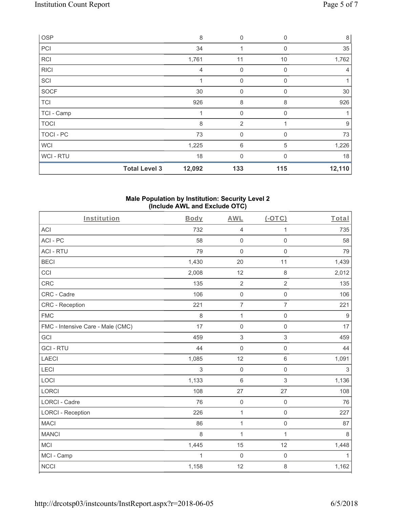| OSP         |                      | 8              | $\mathbf 0$    | 0           | $\,8\,$        |
|-------------|----------------------|----------------|----------------|-------------|----------------|
| PCI         |                      | 34             |                | 0           | 35             |
| <b>RCI</b>  |                      | 1,761          | 11             | 10          | 1,762          |
| <b>RICI</b> |                      | $\overline{4}$ | 0              | $\mathbf 0$ | $\overline{4}$ |
| SCI         |                      |                | $\mathbf 0$    | $\Omega$    |                |
| SOCF        |                      | 30             | $\mathbf 0$    | 0           | 30             |
| <b>TCI</b>  |                      | 926            | 8              | 8           | 926            |
| TCI - Camp  |                      |                | $\mathbf 0$    | $\Omega$    |                |
| <b>TOCI</b> |                      | 8              | $\overline{2}$ |             | 9              |
| TOCI - PC   |                      | 73             | $\mathbf 0$    | $\Omega$    | 73             |
| <b>WCI</b>  |                      | 1,225          | 6              | 5           | 1,226          |
| WCI - RTU   |                      | 18             | $\mathbf 0$    | $\Omega$    | 18             |
|             | <b>Total Level 3</b> | 12,092         | 133            | 115         | 12,110         |

### **Male Population by Institution: Security Level 2 (Include AWL and Exclude OTC)**

| Institution                       | Body         | <b>AWL</b>       | $(-OTC)$            | Total            |
|-----------------------------------|--------------|------------------|---------------------|------------------|
| <b>ACI</b>                        | 732          | $\overline{4}$   | $\mathbf{1}$        | 735              |
| ACI-PC                            | 58           | $\mathbf 0$      | $\mathsf 0$         | 58               |
| <b>ACI - RTU</b>                  | 79           | $\mathbf 0$      | $\mathbf 0$         | 79               |
| <b>BECI</b>                       | 1,430        | 20               | 11                  | 1,439            |
| CCI                               | 2,008        | 12               | $\,8\,$             | 2,012            |
| CRC                               | 135          | $\overline{2}$   | $\overline{2}$      | 135              |
| CRC - Cadre                       | 106          | $\mathbf 0$      | $\mathsf 0$         | 106              |
| CRC - Reception                   | 221          | $\overline{7}$   | $\overline{7}$      | 221              |
| <b>FMC</b>                        | 8            | 1                | $\mathsf{O}\xspace$ | $\boldsymbol{9}$ |
| FMC - Intensive Care - Male (CMC) | 17           | $\mathbf 0$      | $\mathbf 0$         | 17               |
| GCI                               | 459          | $\sqrt{3}$       | $\sqrt{3}$          | 459              |
| <b>GCI-RTU</b>                    | 44           | $\mathbf 0$      | $\mathsf{O}\xspace$ | 44               |
| <b>LAECI</b>                      | 1,085        | 12               | $6\phantom{1}$      | 1,091            |
| LECI                              | 3            | $\mathbf 0$      | $\mathsf{O}\xspace$ | $\sqrt{3}$       |
| LOCI                              | 1,133        | $\,6\,$          | $\sqrt{3}$          | 1,136            |
| LORCI                             | 108          | 27               | 27                  | 108              |
| <b>LORCI - Cadre</b>              | 76           | $\mathbf 0$      | $\mathsf 0$         | 76               |
| <b>LORCI - Reception</b>          | 226          | $\overline{1}$   | $\mathsf{O}\xspace$ | 227              |
| <b>MACI</b>                       | 86           | 1                | $\mathbf 0$         | 87               |
| <b>MANCI</b>                      | 8            | $\mathbf{1}$     | $\mathbf{1}$        | 8                |
| <b>MCI</b>                        | 1,445        | 15               | 12                  | 1,448            |
| MCI - Camp                        | $\mathbf{1}$ | $\boldsymbol{0}$ | $\mathsf{O}\xspace$ | 1                |
| <b>NCCI</b>                       | 1,158        | 12               | 8                   | 1,162            |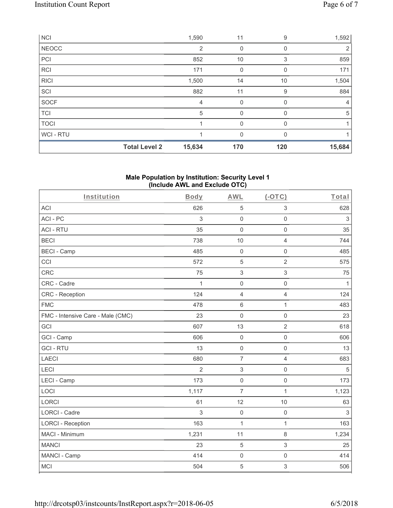| <b>NCI</b>   |                      | 1,590          | 11          | 9        | 1,592          |
|--------------|----------------------|----------------|-------------|----------|----------------|
| <b>NEOCC</b> |                      | $\overline{2}$ | 0           | 0        | 2              |
| PCI          |                      | 852            | 10          | 3        | 859            |
| <b>RCI</b>   |                      | 171            | $\mathbf 0$ | 0        | 171            |
| <b>RICI</b>  |                      | 1,500          | 14          | 10       | 1,504          |
| SCI          |                      | 882            | 11          | 9        | 884            |
| SOCF         |                      | 4              | $\mathbf 0$ | 0        | $\overline{4}$ |
| <b>TCI</b>   |                      | 5              | $\mathbf 0$ | 0        | 5              |
| <b>TOCI</b>  |                      |                | $\mathbf 0$ | $\Omega$ |                |
| WCI - RTU    |                      |                | 0           |          |                |
|              | <b>Total Level 2</b> | 15,634         | 170         | 120      | 15,684         |

# **Male Population by Institution: Security Level 1 (Include AWL and Exclude OTC)**

| Institution                       | <b>Body</b>    | <b>AWL</b>          | $(-OTC)$            | Total          |
|-----------------------------------|----------------|---------------------|---------------------|----------------|
| <b>ACI</b>                        | 626            | 5                   | $\,$ 3 $\,$         | 628            |
| ACI-PC                            | 3              | $\mathbf 0$         | $\mathsf{O}\xspace$ | $\sqrt{3}$     |
| <b>ACI - RTU</b>                  | 35             | $\mathbf 0$         | $\mathbf 0$         | 35             |
| <b>BECI</b>                       | 738            | 10                  | $\overline{4}$      | 744            |
| <b>BECI - Camp</b>                | 485            | $\mathsf{O}\xspace$ | $\mathsf 0$         | 485            |
| CCI                               | 572            | 5                   | $\overline{2}$      | 575            |
| CRC                               | 75             | $\mathfrak{S}$      | $\mathfrak{S}$      | 75             |
| CRC - Cadre                       | $\mathbf 1$    | $\mathbf 0$         | $\mathsf{O}\xspace$ | $\mathbf{1}$   |
| CRC - Reception                   | 124            | $\overline{4}$      | $\overline{4}$      | 124            |
| <b>FMC</b>                        | 478            | $6\phantom{1}$      | $\mathbf{1}$        | 483            |
| FMC - Intensive Care - Male (CMC) | 23             | $\mathsf{O}\xspace$ | $\mathsf 0$         | 23             |
| GCI                               | 607            | 13                  | $\overline{2}$      | 618            |
| GCI - Camp                        | 606            | $\mathsf{O}\xspace$ | $\mathsf 0$         | 606            |
| <b>GCI-RTU</b>                    | 13             | $\mathbf 0$         | $\mathbf 0$         | 13             |
| <b>LAECI</b>                      | 680            | $\overline{7}$      | $\overline{4}$      | 683            |
| LECI                              | $\overline{2}$ | $\,$ 3 $\,$         | $\mathsf{O}\xspace$ | $\overline{5}$ |
| LECI - Camp                       | 173            | $\mathbf 0$         | $\mathbf 0$         | 173            |
| LOCI                              | 1,117          | $\overline{7}$      | $\mathbf{1}$        | 1,123          |
| <b>LORCI</b>                      | 61             | 12                  | 10                  | 63             |
| <b>LORCI - Cadre</b>              | 3              | $\mathbf 0$         | $\mathbf 0$         | $\sqrt{3}$     |
| <b>LORCI - Reception</b>          | 163            | 1                   | $\mathbf 1$         | 163            |
| MACI - Minimum                    | 1,231          | 11                  | $\,8\,$             | 1,234          |
| <b>MANCI</b>                      | 23             | $\overline{5}$      | $\mathfrak{S}$      | 25             |
| MANCI - Camp                      | 414            | $\mathsf{O}\xspace$ | $\mathbf 0$         | 414            |
| <b>MCI</b>                        | 504            | 5                   | $\sqrt{3}$          | 506            |